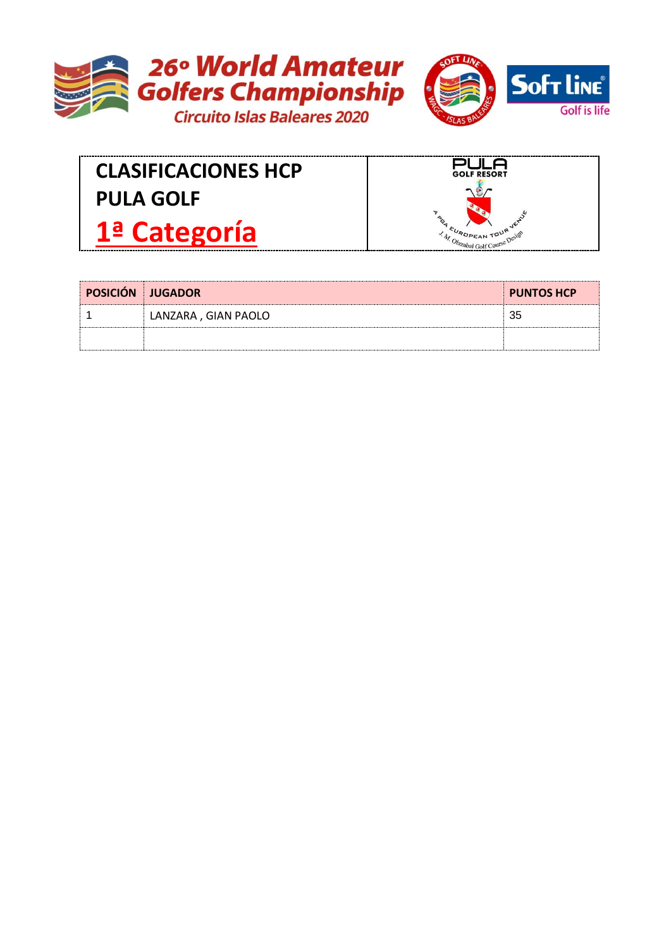



**CLASIFICACIONES HCP PULA GOLF 1ª Categoría**



| <b>POSICIÓN JUGADOR</b> |                     | <b>PUNTOS HCP</b> |
|-------------------------|---------------------|-------------------|
|                         | LANZARA, GIAN PAOLO | 35                |
|                         |                     |                   |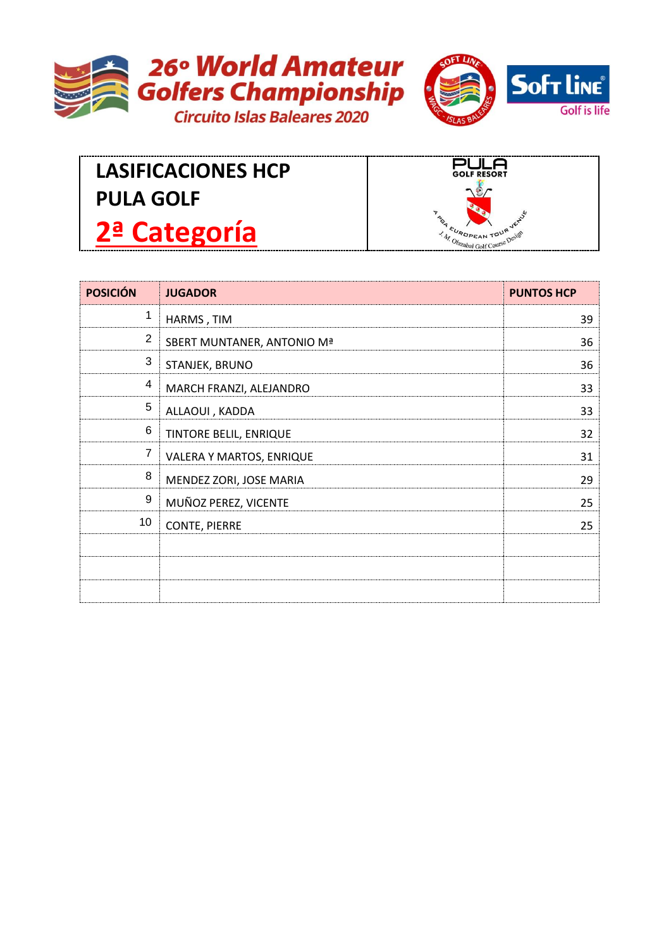



## **LASIFICACIONES HCP PULA GOLF 2ª Categoría**



| <b>POSICIÓN</b> | <b>JUGADOR</b>             | <b>PUNTOS HCP</b> |
|-----------------|----------------------------|-------------------|
| 1               | HARMS, TIM                 | 39                |
| $\overline{2}$  | SBERT MUNTANER, ANTONIO Mª | 36                |
| 3               | STANJEK, BRUNO             | 36                |
| 4               | MARCH FRANZI, ALEJANDRO    | 33                |
| 5               | ALLAOUI, KADDA             | 33                |
| 6               | TINTORE BELIL, ENRIQUE     | 32                |
| 7               | VALERA Y MARTOS, ENRIQUE   | 31                |
| 8               | MENDEZ ZORI, JOSE MARIA    | 29                |
| 9               | MUÑOZ PEREZ, VICENTE       | 25                |
| 10              | <b>CONTE, PIERRE</b>       | 25                |
|                 |                            |                   |
|                 |                            |                   |
|                 |                            |                   |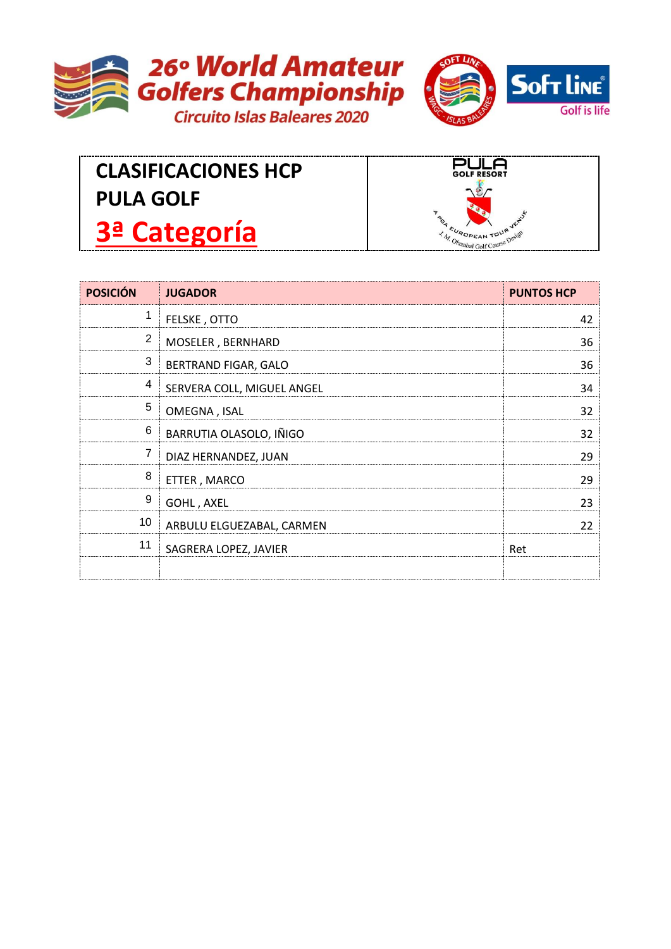



## **CLASIFICACIONES HCP PULA GOLF 3ª Categoría**



| <b>POSICIÓN</b> | <b>JUGADOR</b>             | <b>PUNTOS HCP</b> |
|-----------------|----------------------------|-------------------|
| 1               | FELSKE, OTTO               | 42                |
| $\overline{2}$  | MOSELER, BERNHARD          | 36                |
| 3               | BERTRAND FIGAR, GALO       | 36                |
| 4               | SERVERA COLL, MIGUEL ANGEL | 34                |
| 5               | OMEGNA, ISAL               | 32                |
| $6\phantom{1}6$ | BARRUTIA OLASOLO, IÑIGO    | 32                |
| 7               | DIAZ HERNANDEZ, JUAN       | 29                |
| 8               | ETTER, MARCO               | 29                |
| 9               | GOHL, AXEL                 | 23                |
| 10              | ARBULU ELGUEZABAL, CARMEN  | 22                |
| 11              | SAGRERA LOPEZ, JAVIER      | Ret               |
|                 |                            |                   |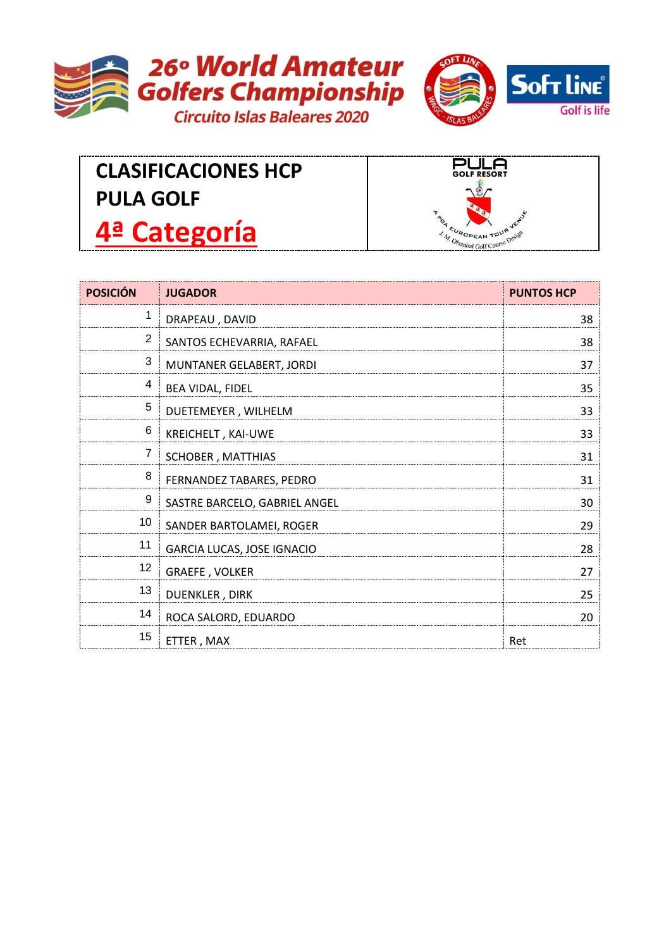



## **CLASIFICACIONES HCP PULA GOLF 4ª Categoría**



| <b>POSICIÓN</b> | <b>JUGADOR</b>                    | <b>PUNTOS HCP</b> |
|-----------------|-----------------------------------|-------------------|
| 1               | DRAPEAU, DAVID                    | 38                |
| $\overline{2}$  | SANTOS ECHEVARRIA, RAFAEL         | 38                |
| 3               | MUNTANER GELABERT, JORDI          | 37                |
| 4               | BEA VIDAL, FIDEL                  | 35                |
| 5               | DUETEMEYER, WILHELM               | 33                |
| 6               | KREICHELT, KAI-UWE                | 33                |
| 7               | SCHOBER, MATTHIAS                 | 31                |
| 8               | FERNANDEZ TABARES, PEDRO          | 31                |
| 9               | SASTRE BARCELO, GABRIEL ANGEL     | 30                |
| 10              | SANDER BARTOLAMEI, ROGER          | 29                |
| 11              | <b>GARCIA LUCAS, JOSE IGNACIO</b> | 28                |
| 12              | <b>GRAEFE, VOLKER</b>             | 27                |
| 13              | <b>DUENKLER, DIRK</b>             | 25                |
| 14              | ROCA SALORD, EDUARDO              | 20                |
| 15              | ETTER, MAX                        | Ret               |